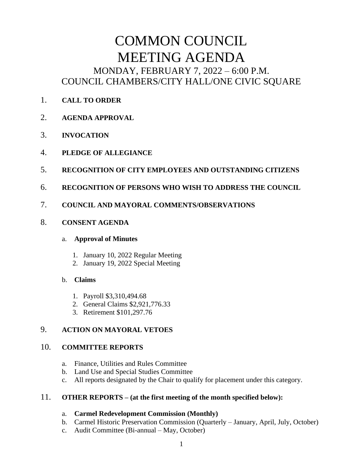# COMMON COUNCIL MEETING AGENDA MONDAY, FEBRUARY 7, 2022 – 6:00 P.M. COUNCIL CHAMBERS/CITY HALL/ONE CIVIC SQUARE

- 1. **CALL TO ORDER**
- 2. **AGENDA APPROVAL**
- 3. **INVOCATION**
- 4. **PLEDGE OF ALLEGIANCE**
- 5. **RECOGNITION OF CITY EMPLOYEES AND OUTSTANDING CITIZENS**
- 6. **RECOGNITION OF PERSONS WHO WISH TO ADDRESS THE COUNCIL**
- 7. **COUNCIL AND MAYORAL COMMENTS/OBSERVATIONS**
- 8. **CONSENT AGENDA**

#### a. **Approval of Minutes**

- 1. January 10, 2022 Regular Meeting
- 2. January 19, 2022 Special Meeting

## b. **Claims**

- 1. Payroll \$3,310,494.68
- 2. General Claims \$2,921,776.33
- 3. Retirement \$101,297.76

# 9. **ACTION ON MAYORAL VETOES**

## 10. **COMMITTEE REPORTS**

- a. Finance, Utilities and Rules Committee
- b. Land Use and Special Studies Committee
- c. All reports designated by the Chair to qualify for placement under this category.

## 11. **OTHER REPORTS – (at the first meeting of the month specified below):**

## a. **Carmel Redevelopment Commission (Monthly)**

- b. Carmel Historic Preservation Commission (Quarterly January, April, July, October)
- c. Audit Committee (Bi-annual May, October)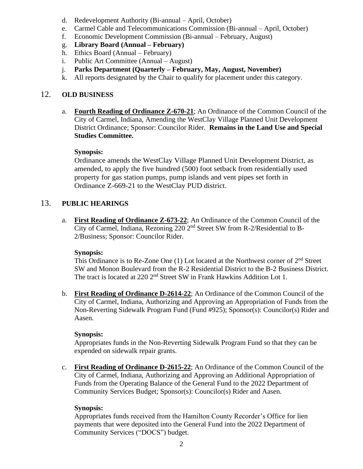- d. Redevelopment Authority (Bi-annual April, October)
- e. Carmel Cable and Telecommunications Commission (Bi-annual April, October)
- f. Economic Development Commission (Bi-annual February, August)
- g. **Library Board (Annual – February)**
- h. Ethics Board (Annual February)
- i. Public Art Committee (Annual August)
- j. **Parks Department (Quarterly – February, May, August, November)**
- k. All reports designated by the Chair to qualify for placement under this category.

# 12. **OLD BUSINESS**

a. **Fourth Reading of Ordinance Z-670-21**; An Ordinance of the Common Council of the City of Carmel, Indiana, Amending the WestClay Village Planned Unit Development District Ordinance; Sponsor: Councilor Rider. **Remains in the Land Use and Special Studies Committee.**

## **Synopsis:**

Ordinance amends the WestClay Village Planned Unit Development District, as amended, to apply the five hundred (500) foot setback from residentially used property for gas station pumps, pump islands and vent pipes set forth in Ordinance Z-669-21 to the WestClay PUD district.

# 13. **PUBLIC HEARINGS**

a. **First Reading of Ordinance Z-673-22**; An Ordinance of the Common Council of the City of Carmel, Indiana, Rezoning 220 2nd Street SW from R-2/Residential to B-2/Business; Sponsor: Councilor Rider.

#### **Synopsis:**

This Ordinance is to Re-Zone One  $(1)$  Lot located at the Northwest corner of  $2<sup>nd</sup>$  Street SW and Monon Boulevard from the R-2 Residential District to the B-2 Business District. The tract is located at 220 2<sup>nd</sup> Street SW in Frank Hawkins Addition Lot 1.

b. **First Reading of Ordinance D-2614-22**; An Ordinance of the Common Council of the City of Carmel, Indiana, Authorizing and Approving an Appropriation of Funds from the Non-Reverting Sidewalk Program Fund (Fund #925); Sponsor(s): Councilor(s) Rider and Aasen.

## **Synopsis:**

Appropriates funds in the Non-Reverting Sidewalk Program Fund so that they can be expended on sidewalk repair grants.

c. **First Reading of Ordinance D-2615-22**; An Ordinance of the Common Council of the City of Carmel, Indiana, Authorizing and Approving an Additional Appropriation of Funds from the Operating Balance of the General Fund to the 2022 Department of Community Services Budget; Sponsor(s): Councilor(s) Rider and Aasen.

## **Synopsis:**

Appropriates funds received from the Hamilton County Recorder's Office for lien payments that were deposited into the General Fund into the 2022 Department of Community Services ("DOCS") budget.